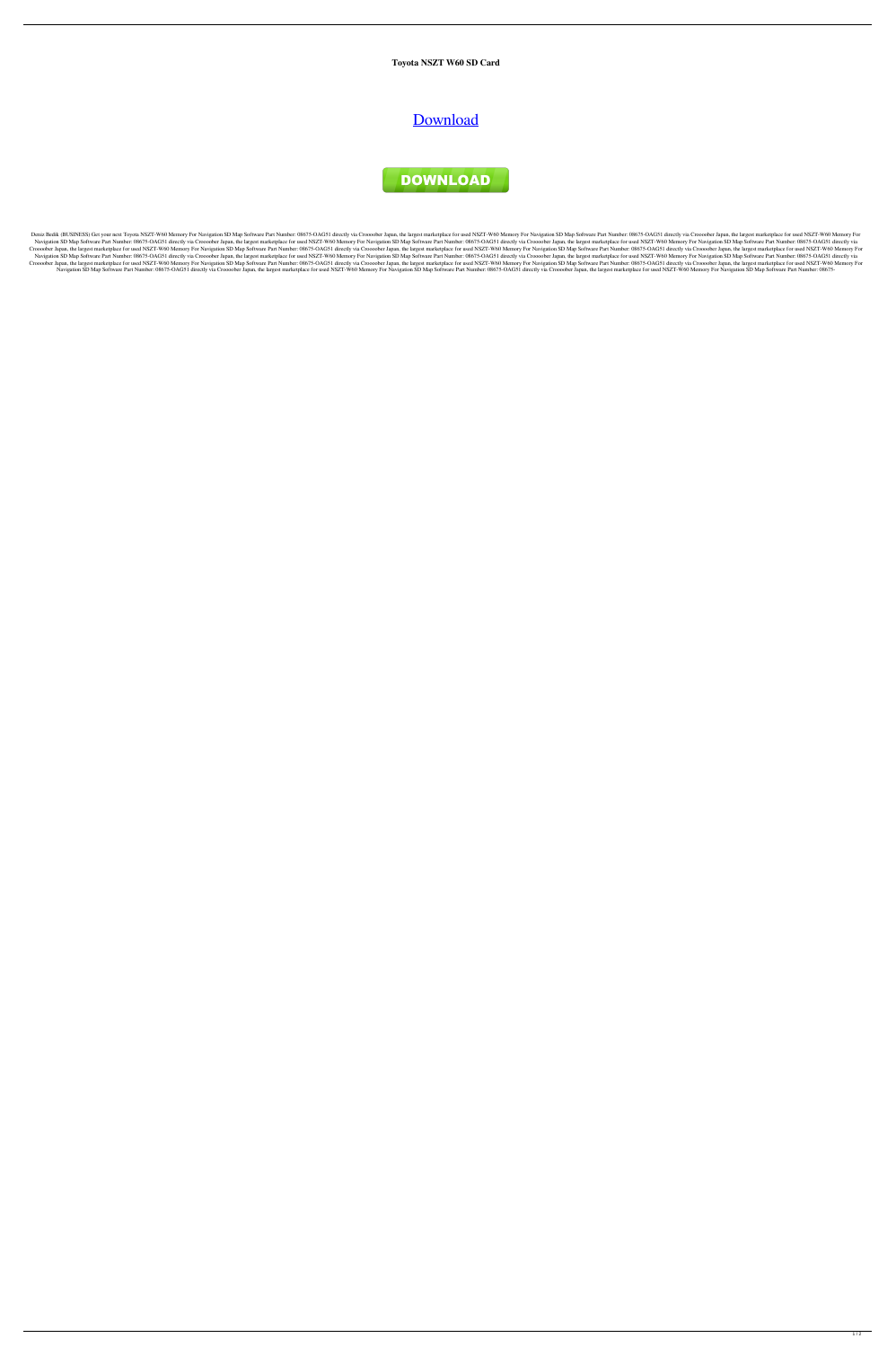**Toyota NSZT W60 SD Card**

## **[Download](https://tinurll.com/2l0nrl)**



Deniz Bedik (BUSINESS) Get your next Toyota NSZT-W60 Memory For Navigation SD Map Software Part Number: 08675-OAG51 directly via Croooober Japan, the largest marketplace for used NSZT-W60 Memory For Navigation SD Map Softw Navigation SD Map Software Part Number: 08675-OAG51 directly via Croooober Japan, the largest marketplace for used NSZT-W60 Memory For Navigation SD Map Software Part Number: 08675-OAG51 directly via Croooober Japan, the l Croooober Japan, the largest marketplace for used NSZT-W60 Memory For Navigation SD Map Software Part Number: 08675-OAG51 directly via Croooober Japan, the largest marketplace for used NSZT-W60 Memory For Navigation SD Map Navigation SD Map Software Part Number: 08675-OAG51 directly via Croooober Japan, the largest marketplace for used NSZT-W60 Memory For Navigation SD Map Software Part Number: 08675-OAG51 directly via Croooober Japan, the l Croooober Japan, the largest marketplace for used NSZT-W60 Memory For Navigation SD Map Software Part Number: 08675-OAG51 directly via Croooober Japan, the largest marketplace for used NSZT-W60 Memory For Navigation SD Map Navigation SD Map Software Part Number: 08675-OAG51 directly via Croooober Japan, the largest marketplace for used NSZT-W60 Memory For Navigation SD Map Software Part Number: 08675-OAG51 directly via Croooober Japan, the l